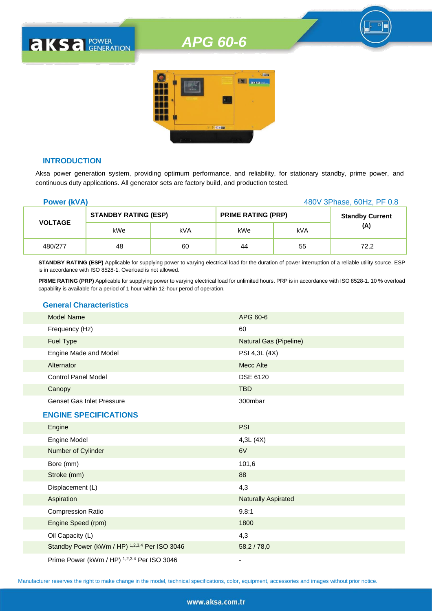## *APG 60-6*



#### **INTRODUCTION**

**AKSA POWER** 

Aksa power generation system, providing optimum performance, and reliability, for stationary standby, prime power, and continuous duty applications. All generator sets are factory build, and production tested.

| <b>Power (kVA)</b> |                             |     | 480V 3Phase, 60Hz, PF 0.8 |     |                        |
|--------------------|-----------------------------|-----|---------------------------|-----|------------------------|
|                    | <b>STANDBY RATING (ESP)</b> |     | <b>PRIME RATING (PRP)</b> |     | <b>Standby Current</b> |
| <b>VOLTAGE</b>     | kWe                         | kVA | kWe                       | kVA | (A)                    |
| 480/277            | 48                          | 60  | 44                        | 55  | 72,2                   |

**STANDBY RATING (ESP)** Applicable for supplying power to varying electrical load for the duration of power interruption of a reliable utility source. ESP is in accordance with ISO 8528-1. Overload is not allowed.

**PRIME RATING (PRP)** Applicable for supplying power to varying electrical load for unlimited hours. PRP is in accordance with ISO 8528-1. 10 % overload capability is available for a period of 1 hour within 12-hour perod of operation.

#### **General Characteristics**

| <b>Model Name</b>                             | APG 60-6                      |
|-----------------------------------------------|-------------------------------|
| Frequency (Hz)                                | 60                            |
| <b>Fuel Type</b>                              | <b>Natural Gas (Pipeline)</b> |
| Engine Made and Model                         | PSI 4,3L (4X)                 |
| Alternator                                    | <b>Mecc Alte</b>              |
| <b>Control Panel Model</b>                    | <b>DSE 6120</b>               |
| Canopy                                        | <b>TBD</b>                    |
| <b>Genset Gas Inlet Pressure</b>              | 300mbar                       |
| <b>ENGINE SPECIFICATIONS</b>                  |                               |
| Engine                                        | <b>PSI</b>                    |
| Engine Model                                  | 4,3L(4X)                      |
| Number of Cylinder                            | 6V                            |
| Bore (mm)                                     | 101,6                         |
| Stroke (mm)                                   | 88                            |
| Displacement (L)                              | 4,3                           |
| Aspiration                                    | <b>Naturally Aspirated</b>    |
| <b>Compression Ratio</b>                      | 9.8:1                         |
| Engine Speed (rpm)                            | 1800                          |
| Oil Capacity (L)                              | 4,3                           |
| Standby Power (kWm / HP) 1,2,3,4 Per ISO 3046 | 58,2 / 78,0                   |
| Prime Power (kWm / HP) 1,2,3,4 Per ISO 3046   |                               |

Manufacturer reserves the right to make change in the model, technical specifications, color, equipment, accessories and images without prior notice.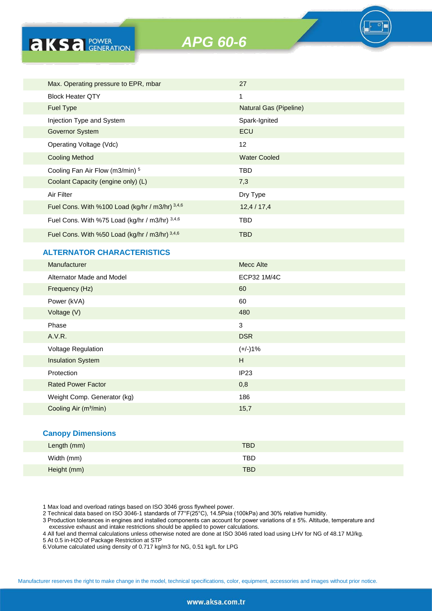

| Max. Operating pressure to EPR, mbar            | 27                     |
|-------------------------------------------------|------------------------|
| <b>Block Heater QTY</b>                         | 1                      |
| <b>Fuel Type</b>                                | Natural Gas (Pipeline) |
| Injection Type and System                       | Spark-Ignited          |
| <b>Governor System</b>                          | ECU                    |
| Operating Voltage (Vdc)                         | 12                     |
| <b>Cooling Method</b>                           | <b>Water Cooled</b>    |
| Cooling Fan Air Flow (m3/min) 5                 | TBD                    |
| Coolant Capacity (engine only) (L)              | 7,3                    |
| Air Filter                                      | Dry Type               |
| Fuel Cons. With %100 Load (kg/hr / m3/hr) 3,4,6 | 12,4/17,4              |
| Fuel Cons. With %75 Load (kg/hr / m3/hr) 3,4,6  | TBD                    |
| Fuel Cons. With %50 Load (kg/hr / m3/hr) 3,4,6  | TBD                    |

#### **ALTERNATOR CHARACTERISTICS**

**AKS** *B CENERATION* 

| Manufacturer                      | Mecc Alte   |
|-----------------------------------|-------------|
| Alternator Made and Model         | ECP32 1M/4C |
| Frequency (Hz)                    | 60          |
| Power (kVA)                       | 60          |
| Voltage (V)                       | 480         |
| Phase                             | 3           |
| A.V.R.                            | <b>DSR</b>  |
| Voltage Regulation                | $(+/-)1%$   |
| <b>Insulation System</b>          | H           |
| Protection                        | IP23        |
| <b>Rated Power Factor</b>         | 0,8         |
| Weight Comp. Generator (kg)       | 186         |
| Cooling Air (m <sup>3</sup> /min) | 15,7        |

#### **Canopy Dimensions**

| Length (mm) | <b>TBD</b> |
|-------------|------------|
| Width (mm)  | <b>TBD</b> |
| Height (mm) | <b>TBD</b> |

1 Max load and overload ratings based on ISO 3046 gross flywheel power.

2 Technical data based on ISO 3046-1 standards of 77°F(25°C), 14.5Psia (100kPa) and 30% relative humidity.

3 Production tolerances in engines and installed components can account for power variations of ± 5%. Altitude, temperature and excessive exhaust and intake restrictions should be applied to power calculations.

4 All fuel and thermal calculations unless otherwise noted are done at ISO 3046 rated load using LHV for NG of 48.17 MJ/kg.

5 At 0.5 in-H2O of Package Restriction at STP

6.Volume calculated using density of 0.717 kg/m3 for NG, 0.51 kg/L for LPG

Manufacturer reserves the right to make change in the model, technical specifications, color, equipment, accessories and images without prior notice.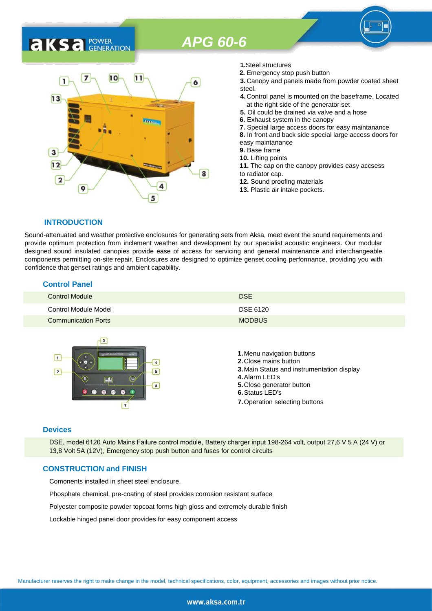## *APG 60-6*

### 7  $10$  $11$ 6  $13$ 3  $12$ 8  $\overline{2}$ 9 5

**1.**Steel structures

- **2.** Emergency stop push button
- **3.** Canopy and panels made from powder coated sheet steel.
- **4.** Control panel is mounted on the baseframe. Located at the right side of the generator set
- **5.** Oil could be drained via valve and a hose
- **6.** Exhaust system in the canopy
- **7.** Special large access doors for easy maintanance
- **8.** In front and back side special large access doors for
- easy maintanance
- **9.** Base frame
- **10.** Lifting points
- **11.** The cap on the canopy provides easy accsess to radiator cap.
- **12.** Sound proofing materials
- **13.** Plastic air intake pockets.

#### **INTRODUCTION**

**AKS** *C C <b>C GENERATION* 

Sound-attenuated and weather protective enclosures for generating sets from Aksa, meet event the sound requirements and provide optimum protection from inclement weather and development by our specialist acoustic engineers. Our modular designed sound insulated canopies provide ease of access for servicing and general maintenance and interchangeable components permitting on-site repair. Enclosures are designed to optimize genset cooling performance, providing you with confidence that genset ratings and ambient capability.

#### **Control Panel**

| <b>Control Module</b>      | <b>DSE</b>    |
|----------------------------|---------------|
| Control Module Model       | DSE 6120      |
| <b>Communication Ports</b> | <b>MODBUS</b> |



#### **Devices**

DSE, model 6120 Auto Mains Failure control modüle, Battery charger input 198-264 volt, output 27,6 V 5 A (24 V) or 13,8 Volt 5A (12V), Emergency stop push button and fuses for control circuits

#### **CONSTRUCTION and FINISH**

Comonents installed in sheet steel enclosure.

Phosphate chemical, pre-coating of steel provides corrosion resistant surface

Polyester composite powder topcoat forms high gloss and extremely durable finish

Lockable hinged panel door provides for easy component access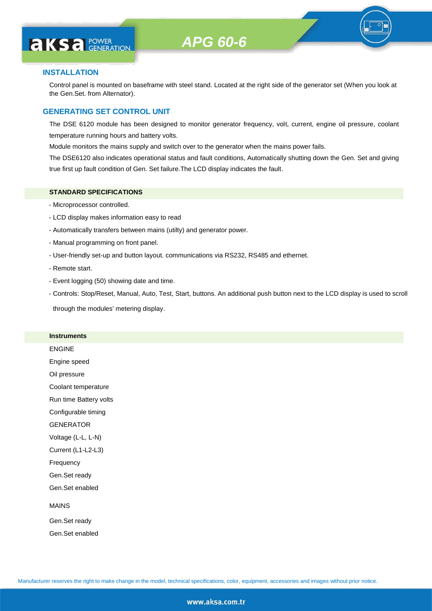# **AKS** *C C <b>C GENERATION*

#### **INSTALLATION**

Control panel is mounted on baseframe with steel stand. Located at the right side of the generator set (When you look at the Gen.Set. from Alternator).

#### **GENERATING SET CONTROL UNIT**

The DSE 6120 module has been designed to monitor generator frequency, volt, current, engine oil pressure, coolant temperature running hours and battery volts.

Module monitors the mains supply and switch over to the generator when the mains power fails.

The DSE6120 also indicates operational status and fault conditions, Automatically shutting down the Gen. Set and giving true first up fault condition of Gen. Set failure.The LCD display indicates the fault.

#### **STANDARD SPECIFICATIONS**

- Microprocessor controlled.
- LCD display makes information easy to read
- Automatically transfers between mains (utilty) and generator power.
- Manual programming on front panel.
- User-friendly set-up and button layout. communications via RS232, RS485 and ethernet.
- Remote start.
- Event logging (50) showing date and time.
- Controls: Stop/Reset, Manual, Auto, Test, Start, buttons. An additional push button next to the LCD display is used to scroll

through the modules' metering display.

#### **Instruments**

ENGINE Engine speed Oil pressure Coolant temperature Run time Battery volts Configurable timing **GENERATOR** Voltage (L-L, L-N) Current (L1-L2-L3) Frequency Gen.Set ready Gen.Set enabled MAINS Gen.Set ready

Gen.Set enabled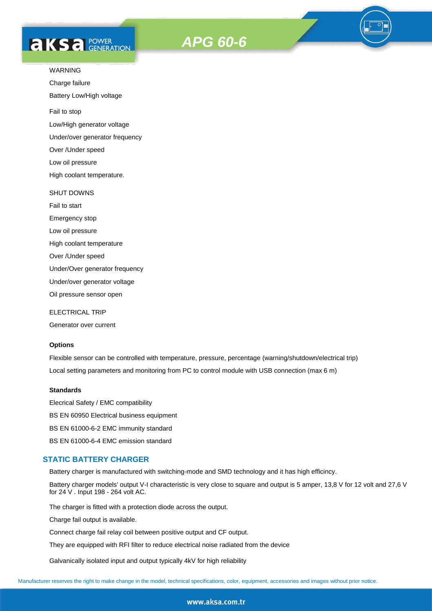# **AKS** *C C <b>C GENERATION*





Charge failure

Battery Low/High voltage

Fail to stop

Low/High generator voltage

Under/over generator frequency

Over /Under speed

Low oil pressure

High coolant temperature.

#### SHUT DOWNS

Fail to start Emergency stop Low oil pressure High coolant temperature Over /Under speed Under/Over generator frequency Under/over generator voltage

Oil pressure sensor open

ELECTRICAL TRIP

Generator over current

#### **Options**

Flexible sensor can be controlled with temperature, pressure, percentage (warning/shutdown/electrical trip) Local setting parameters and monitoring from PC to control module with USB connection (max 6 m)

#### **Standards**

Elecrical Safety / EMC compatibility BS EN 60950 Electrical business equipment BS EN 61000-6-2 EMC immunity standard BS EN 61000-6-4 EMC emission standard

#### **STATIC BATTERY CHARGER**

Battery charger is manufactured with switching-mode and SMD technology and it has high efficincy.

Battery charger models' output V-I characteristic is very close to square and output is 5 amper, 13,8 V for 12 volt and 27,6 V for 24 V . Input 198 - 264 volt AC.

The charger is fitted with a protection diode across the output.

Charge fail output is available.

Connect charge fail relay coil between positive output and CF output.

They are equipped with RFI filter to reduce electrical noise radiated from the device

Galvanically isolated input and output typically 4kV for high reliability